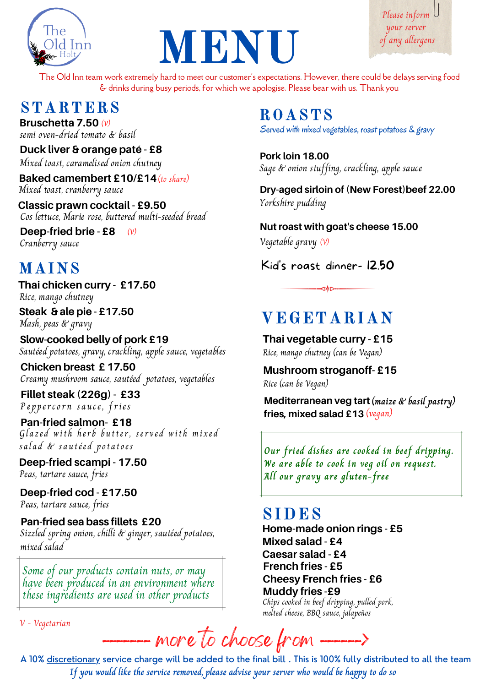

# MENU

Please inform your server of any allergens

The Old Inn team work extremely hard to meet our customer's expectations. However, there could be delays serving food & drinks during busy periods, for which we apologise. Please bear with us. Thank you

# STARTERS ROASTS

**Bruschetta** 7.50 (v) semi oven-dried tomato & basil

**Duck liver & orange paté - £8** Mixed toast, caramelised onion chutney

**Baked camembert £10/£14** (to share) Mixed toast, cranberry sauce

Cos lettuce, Marie rose, buttered multi-seeded bread **Classic prawn cocktail - £9.50**

Cranberry sauce **Deep-fried brie - £8**  $(\nu)$ 

# MAINS

Rice, mango chutney **Thai chicken curry - £17.50**

**Steak & ale pie - £17.50** Mash, peas & gravy

**Slow-cooked belly of pork £19** Sautéed potatoes, gravy, crackling, apple sauce, vegetables

**Chicken breast £ 17.50** Creamy mushroom sauce, sautéed potatoes, vegetables

**Fillet steak (226g) - £33** Peppercorn sauce, fries

**Pan-fried salmon- £18** Glazed with herb butter, served with mixed salad & sautéed potatoes

**Deep-fried scampi - 17.50** Peas, tartare sauce, fries

Peas, tartare sauce, fries **Deep-fried cod - £17.50**

**Pan-fried sea bass fillets £20** Sizzled spring onion, chilli & ginger, sautéed potatoes, mixed salad

Some of our products contain nuts, or may have been produced in an environment where these ingredients are used in other products

V - Vegetarian

Served with mixed vegetables, roast potatoes & gravy

**Pork loin 18.00** Sage & onion stuffing, crackling, apple sauce

**Dry-aged sirloin of (New Forest)beef 22.00** Yorkshire pudding

**Nut roast with goat's cheese 15.00** Vegetable gravy (V)

Kid's roast dinner- 12.50

⊲♦⊳∽

# VEGETARIAN

Rice, mango chutney (can be Vegan) **Thai vegetable curry - £15**

**Mushroom stroganoff- £15** Rice (can be Vegan)

**Mediterranean veg tart (maize & basil pastry) fries, mixed salad £13** (vegan)

**Our fried dishes are cooked in beef dripping. We are able to cook in veg oil on request. All our gravy are gluten-free**

# SIDES

**Home-made onion rings - £5** Chips cooked in beef dripping, pulled pork, melted cheese, BBQ sauce, jalapeños **Muddy fries -£9 Cheesy French fries - £6 French fries - £5 Mixed salad - £4 Caesar salad - £4**

more to choose from.

A 10% discretionary service charge will be added to the final bill . This is 100% fully distributed to all the team **If you would like the service removed, please advise your server who would be happy to do so**